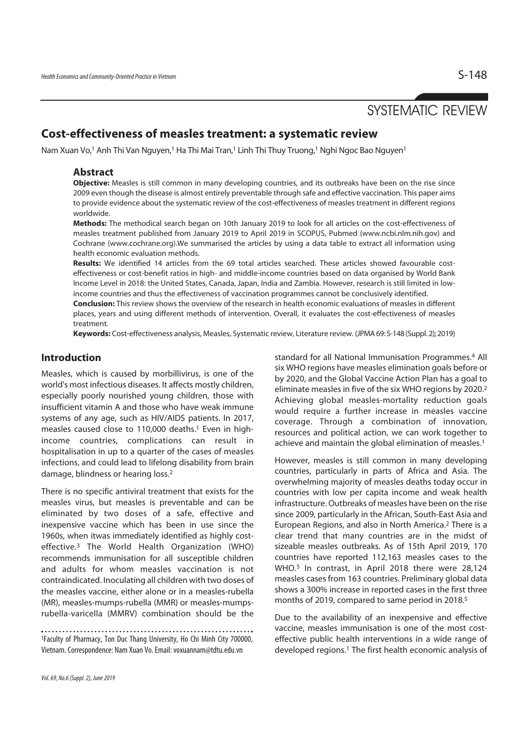# SYSTEMATIC REVIEW

# **Cost-effectiveness of measles treatment: a systematic review**

Nam Xuan Vo,<sup>1</sup> Anh Thi Van Nguyen,<sup>1</sup> Ha Thi Mai Tran,<sup>1</sup> Linh Thi Thuy Truong,<sup>1</sup> Nghi Ngoc Bao Nguyen<sup>1</sup>

### **Abstract**

**Objective:** Measles is still common in many developing countries, and its outbreaks have been on the rise since 2009 even though the disease is almost entirely preventable through safe and effective vaccination. This paper aims to provide evidence about the systematic review of the cost-effectiveness of measles treatment in different regions worldwide.

**Methods:** The methodical search began on 10th January 2019 to look for all articles on the cost-effectiveness of measles treatment published from January 2019 to April 2019 in SCOPUS, Pubmed (www.ncbi.nlm.nih.gov) and Cochrane (www.cochrane.org).We summarised the articles by using a data table to extract all information using health economic evaluation methods.

**Results:** We identified 14 articles from the 69 total articles searched. These articles showed favourable costeffectiveness or cost-benefit ratios in high- and middle-income countries based on data organised by World Bank Income Level in 2018: the United States, Canada, Japan, India and Zambia. However, research is still limited in lowincome countries and thus the effectiveness of vaccination programmes cannot be conclusively identified.

**Conclusion:** This review shows the overview of the research in health economic evaluations of measles in different places, years and using different methods of intervention. Overall, it evaluates the cost-effectiveness of measles treatment.

**Keywords:** Cost-effectiveness analysis, Measles, Systematic review, Literature review. (JPMA 69: S-148 (Suppl. 2); 2019)

### **Introduction**

Measles, which is caused by morbillivirus, is one of the world's most infectious diseases. It affects mostly children, especially poorly nourished young children, those with insufficient vitamin A and those who have weak immune systems of any age, such as HIV/AIDS patients. In 2017, measles caused close to 110,000 deaths.<sup>1</sup> Even in highincome countries, complications can result in hospitalisation in up to a quarter of the cases of measles infections, and could lead to lifelong disability from brain damage, blindness or hearing loss.2

There is no specific antiviral treatment that exists for the measles virus, but measles is preventable and can be eliminated by two doses of a safe, effective and inexpensive vaccine which has been in use since the 1960s, when itwas immediately identified as highly costeffective.3 The World Health Organization (WHO) recommends immunisation for all susceptible children and adults for whom measles vaccination is not contraindicated. Inoculating all children with two doses of the measles vaccine, either alone or in a measles-rubella (MR), measles-mumps-rubella (MMR) or measles-mumpsrubella-varicella (MMRV) combination should be the standard for all National Immunisation Programmes.4 All six WHO regions have measles elimination goals before or by 2020, and the Global Vaccine Action Plan has a goal to eliminate measles in five of the six WHO regions by 2020.2 Achieving global measles-mortality reduction goals would require a further increase in measles vaccine coverage. Through a combination of innovation, resources and political action, we can work together to achieve and maintain the global elimination of measles.1

However, measles is still common in many developing countries, particularly in parts of Africa and Asia. The overwhelming majority of measles deaths today occur in countries with low per capita income and weak health infrastructure. Outbreaks of measles have been on the rise since 2009, particularly in the African, South-East Asia and European Regions, and also in North America.2 There is a clear trend that many countries are in the midst of sizeable measles outbreaks. As of 15th April 2019, 170 countries have reported 112,163 measles cases to the WHO.5 In contrast, in April 2018 there were 28,124 measles cases from 163 countries. Preliminary global data shows a 300% increase in reported cases in the first three months of 2019, compared to same period in 2018.<sup>5</sup>

Due to the availability of an inexpensive and effective vaccine, measles immunisation is one of the most costeffective public health interventions in a wide range of developed regions.1 The first health economic analysis of

<sup>1</sup>Faculty of Pharmacy, Ton Duc Thang University, Ho Chi Minh City 700000, Vietnam. Correspondence: Nam Xuan Vo. Email: voxuannam@tdtu.edu.vn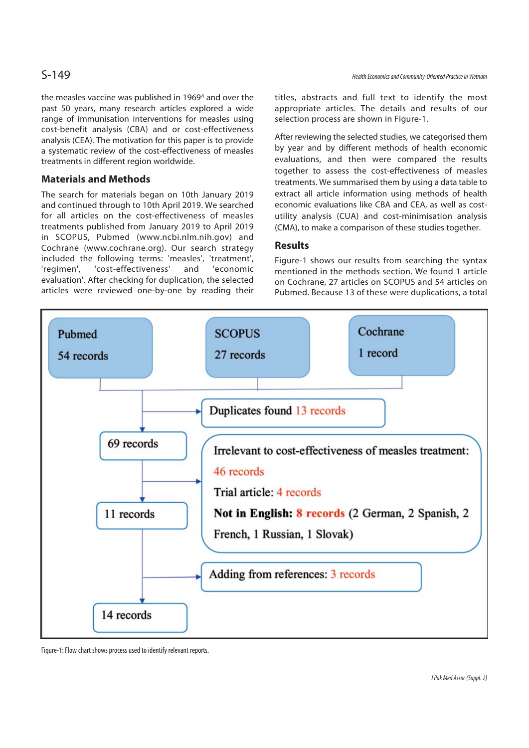the measles vaccine was published in 19694 and over the past 50 years, many research articles explored a wide range of immunisation interventions for measles using cost-benefit analysis (CBA) and or cost-effectiveness analysis (CEA). The motivation for this paper is to provide a systematic review of the cost-effectiveness of measles treatments in different region worldwide.

# **Materials and Methods**

The search for materials began on 10th January 2019 and continued through to 10th April 2019. We searched for all articles on the cost-effectiveness of measles treatments published from January 2019 to April 2019 in SCOPUS, Pubmed (www.ncbi.nlm.nih.gov) and Cochrane (www.cochrane.org). Our search strategy included the following terms: 'measles', 'treatment', 'regimen', 'cost-effectiveness' and 'economic evaluation'. After checking for duplication, the selected articles were reviewed one-by-one by reading their

titles, abstracts and full text to identify the most appropriate articles. The details and results of our selection process are shown in Figure-1.

After reviewing the selected studies, we categorised them by year and by different methods of health economic evaluations, and then were compared the results together to assess the cost-effectiveness of measles treatments. We summarised them by using a data table to extract all article information using methods of health economic evaluations like CBA and CEA, as well as costutility analysis (CUA) and cost-minimisation analysis (CMA), to make a comparison of these studies together.

### **Results**

Figure-1 shows our results from searching the syntax mentioned in the methods section. We found 1 article on Cochrane, 27 articles on SCOPUS and 54 articles on Pubmed. Because 13 of these were duplications, a total



Figure-1: Flow chart shows process used to identify relevant reports.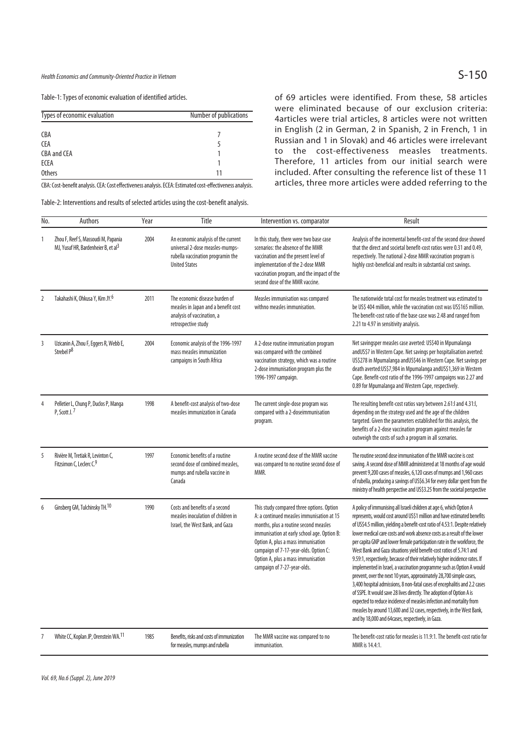Table-1: Types of economic evaluation of identified articles.

| Types of economic evaluation | Number of publications |
|------------------------------|------------------------|
| CBA                          |                        |
| <b>CEA</b>                   |                        |
| <b>CBA and CEA</b>           |                        |
| ECEA                         |                        |
| <b>Others</b>                | 11                     |

CBA: Cost-benefit analysis. CEA: Cost effectiveness analysis. ECEA: Estimated cost-effectiveness analysis.

Table-2: Interventions and results of selected articles using the cost-benefit analysis.

of 69 articles were identified. From these, 58 articles were eliminated because of our exclusion criteria: 4articles were trial articles, 8 articles were not written in English (2 in German, 2 in Spanish, 2 in French, 1 in Russian and 1 in Slovak) and 46 articles were irrelevant to the cost-effectiveness measles treatments. Therefore, 11 articles from our initial search were included. After consulting the reference list of these 11 articles, three more articles were added referring to the

| No.            | Authors                                                                                | Year | Title                                                                                                                               | Intervention vs. comparator                                                                                                                                                                                                                                                                                                        | Result                                                                                                                                                                                                                                                                                                                                                                                                                                                                                                                                                                                                                                                                                                                                                                                                                                                                                                                                                                                                                                                            |
|----------------|----------------------------------------------------------------------------------------|------|-------------------------------------------------------------------------------------------------------------------------------------|------------------------------------------------------------------------------------------------------------------------------------------------------------------------------------------------------------------------------------------------------------------------------------------------------------------------------------|-------------------------------------------------------------------------------------------------------------------------------------------------------------------------------------------------------------------------------------------------------------------------------------------------------------------------------------------------------------------------------------------------------------------------------------------------------------------------------------------------------------------------------------------------------------------------------------------------------------------------------------------------------------------------------------------------------------------------------------------------------------------------------------------------------------------------------------------------------------------------------------------------------------------------------------------------------------------------------------------------------------------------------------------------------------------|
| 1              | Zhou F, Reef S, Massoudi M, Papania<br>MJ, Yusuf HR, Bardenheier B, et al <sup>3</sup> | 2004 | An economic analysis of the current<br>universal 2-dose measles-mumps-<br>rubella vaccination programin the<br><b>United States</b> | In this study, there were two base case<br>scenarios: the absence of the MMR<br>vaccination and the present level of<br>implementation of the 2-dose MMR<br>vaccination program, and the impact of the<br>second dose of the MMR vaccine.                                                                                          | Analysis of the incremental benefit-cost of the second dose showed<br>that the direct and societal benefit-cost ratios were 0.31 and 0.49.<br>respectively. The national 2-dose MMR vaccination program is<br>highly cost-beneficial and results in substantial cost savings.                                                                                                                                                                                                                                                                                                                                                                                                                                                                                                                                                                                                                                                                                                                                                                                     |
| $\overline{2}$ | Takahashi K, Ohkusa Y, Kim JY. <sup>6</sup>                                            | 2011 | The economic disease burden of<br>measles in Japan and a benefit cost<br>analysis of vaccination, a<br>retrospective study          | Measles immunisation was compared<br>withno measles immunisation.                                                                                                                                                                                                                                                                  | The nationwide total cost for measles treatment was estimated to<br>be US\$ 404 million, while the vaccination cost was US\$165 million.<br>The benefit-cost ratio of the base case was 2.48 and ranged from<br>2.21 to 4.97 in sensitivity analysis.                                                                                                                                                                                                                                                                                                                                                                                                                                                                                                                                                                                                                                                                                                                                                                                                             |
| $\overline{3}$ | Uzicanin A, Zhou F, Eggers R, Webb E,<br>Strebel P <sup>8</sup>                        | 2004 | Economic analysis of the 1996-1997<br>mass measles immunization<br>campaigns in South Africa                                        | A 2-dose routine immunisation program<br>was compared with the combined<br>vaccination strategy, which was a routine<br>2-dose immunisation program plus the<br>1996-1997 campaign.                                                                                                                                                | Net savingsper measles case averted: US\$40 in Mpumalanga<br>andUS\$7 in Western Cape. Net savings per hospitalisation averted:<br>US\$278 in Mpumalanga andUS\$46 in Western Cape. Net savings per<br>death averted: US\$7,984 in Mpumalanga and US\$1,369 in Western<br>Cape. Benefit-cost ratio of the 1996-1997 campaigns was 2.27 and<br>0.89 for Mpumalanga and Western Cape, respectively.                                                                                                                                                                                                                                                                                                                                                                                                                                                                                                                                                                                                                                                                 |
| $\overline{4}$ | Pelletier L, Chung P, Duclos P, Manga<br>P. Scott J. $7$                               | 1998 | A benefit-cost analysis of two-dose<br>measles immunization in Canada                                                               | The current single-dose program was<br>compared with a 2-doseimmunisation<br>program.                                                                                                                                                                                                                                              | The resulting benefit-cost ratios vary between 2.61:l and 4.31:l,<br>depending on the strategy used and the age of the children<br>targeted. Given the parameters established for this analysis, the<br>benefits of a 2-dose vaccination program against measles far<br>outweigh the costs of such a program in all scenarios.                                                                                                                                                                                                                                                                                                                                                                                                                                                                                                                                                                                                                                                                                                                                    |
| 5              | Rivière M, Tretiak R, Levinton C,<br>Fitzsimon C, Leclerc C.9                          | 1997 | Economic benefits of a routine<br>second dose of combined measles,<br>mumps and rubella vaccine in<br>Canada                        | A routine second dose of the MMR vaccine<br>was compared to no routine second dose of<br>MMR.                                                                                                                                                                                                                                      | The routine second dose immunisation of the MMR vaccine is cost<br>saving. A second dose of MMR administered at 18 months of age would<br>prevent 9,200 cases of measles, 6,120 cases of mumps and 1,960 cases<br>of rubella, producing a savings of US\$6.34 for every dollar spent from the<br>ministry of health perspective and US\$3.25 from the societal perspective                                                                                                                                                                                                                                                                                                                                                                                                                                                                                                                                                                                                                                                                                        |
| 6              | Ginsberg GM, Tulchinsky TH. <sup>10</sup>                                              | 1990 | Costs and benefits of a second<br>measles inoculation of children in<br>Israel, the West Bank, and Gaza                             | This study compared three options. Option<br>A: a continued measles immunisation at 15<br>months, plus a routine second measles<br>immunisation at early school age. Option B:<br>Option A, plus a mass immunisation<br>campaign of 7-17-year-olds. Option C:<br>Option A, plus a mass immunisation<br>campaign of 7-27-year-olds. | A policy of immunising all Israeli children at age 6, which Option A<br>represents, would cost around US\$1 million and have estimated benefits<br>of US\$4.5 million, yielding a benefit-cost ratio of 4.53:1. Despite relatively<br>lower medical care costs and work absence costs as a result of the lower<br>per capita GNP and lower female participation rate in the workforce, the<br>West Bank and Gaza situations yield benefit-cost ratios of 5.74:1 and<br>9.59:1, respectively, because of their relatively higher incidence rates. If<br>implemented in Israel, a vaccination programme such as Option A would<br>prevent, over the next 10 years, approximately 28,700 simple cases,<br>3,400 hospital admissions, 8 non-fatal cases of encephalitis and 2.2 cases<br>of SSPE. It would save 28 lives directly. The adoption of Option A is<br>expected to reduce incidence of measles infection and mortality from<br>measles by around 13,600 and 32 cases, respectively, in the West Bank,<br>and by 18,000 and 64cases, respectively, in Gaza. |
| $\overline{7}$ | White CC, Koplan JP, Orenstein WA. <sup>11</sup>                                       | 1985 | Benefits, risks and costs of immunization<br>for measles, mumps and rubella                                                         | The MMR vaccine was compared to no<br>immunisation.                                                                                                                                                                                                                                                                                | The benefit-cost ratio for measles is 11.9:1. The benefit-cost ratio for<br>MMR is 14.4:1.                                                                                                                                                                                                                                                                                                                                                                                                                                                                                                                                                                                                                                                                                                                                                                                                                                                                                                                                                                        |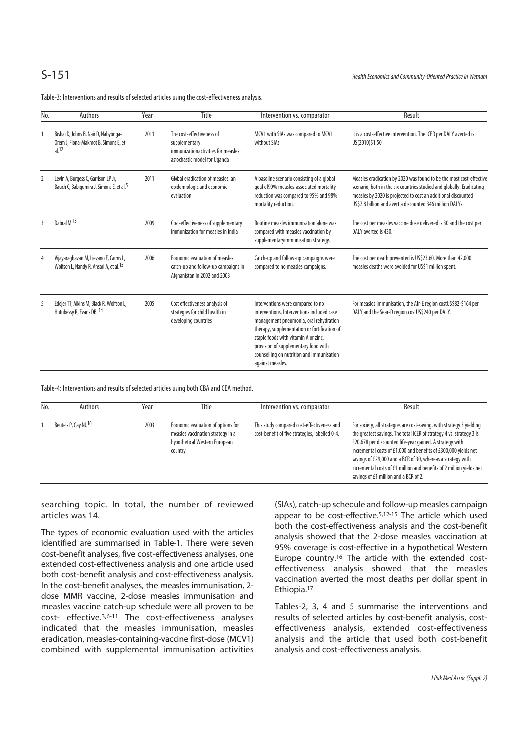S-151 Health Economics and Community-Oriented Practice in Vietnam

Table-3: Interventions and results of selected articles using the cost-effectiveness analysis.

| No.            | Authors                                                                                             | Year | Title                                                                                                             | Intervention vs. comparator                                                                                                                                                                                                                                                                                                | Result                                                                                                                                                                                                                                                                    |
|----------------|-----------------------------------------------------------------------------------------------------|------|-------------------------------------------------------------------------------------------------------------------|----------------------------------------------------------------------------------------------------------------------------------------------------------------------------------------------------------------------------------------------------------------------------------------------------------------------------|---------------------------------------------------------------------------------------------------------------------------------------------------------------------------------------------------------------------------------------------------------------------------|
|                | Bishai D, Johns B, Nair D, Nabyonga-<br>Orem J. Fiona-Makmot B. Simons E. et<br>$al.$ <sup>12</sup> | 2011 | The cost-effectiveness of<br>supplementary<br>immunizationactivities for measles:<br>astochastic model for Uganda | MCV1 with SIAs was compared to MCV1<br>without SIAs                                                                                                                                                                                                                                                                        | It is a cost-effective intervention. The ICER per DALY averted is<br>US(2010)\$1.50                                                                                                                                                                                       |
| $\overline{2}$ | Levin A, Burgess C, Garrison LP Jr,<br>Bauch C, Babigumira J, Simons E, et al. <sup>5</sup>         | 2011 | Global eradication of measles: an<br>epidemiologic and economic<br>evaluation                                     | A baseline scenario consisting of a global<br>goal of 90% measles-associated mortality<br>reduction was compared to 95% and 98%<br>mortality reduction.                                                                                                                                                                    | Measles eradication by 2020 was found to be the most cost-effective<br>scenario, both in the six countries studied and globally. Eradicating<br>measles by 2020 is projected to cost an additional discounted<br>US\$7.8 billion and avert a discounted 346 million DALYs |
| ₹              | Dabral M. <sup>13</sup>                                                                             | 2009 | Cost-effectiveness of supplementary<br>immunization for measles in India                                          | Routine measles immunisation alone was<br>compared with measles vaccination by<br>supplementaryimmunisation strategy.                                                                                                                                                                                                      | The cost per measles vaccine dose delivered is 30 and the cost per<br>DALY averted is 430.                                                                                                                                                                                |
| 4              | Vijayaraghavan M, Lievano F, Cairns L,<br>Wolfson L, Nandy R, Ansari A, et al. <sup>15</sup>        | 2006 | <b>Fronomic evaluation of measles</b><br>catch-up and follow-up campaigns in<br>Afghanistan in 2002 and 2003      | Catch-up and follow-up campaigns were<br>compared to no measles campaigns.                                                                                                                                                                                                                                                 | The cost per death prevented is US\$23.60. More than 42,000<br>measles deaths were avoided for US\$1 million spent.                                                                                                                                                       |
| 5              | Edejer TT, Aikins M, Black R, Wolfson L,<br>Hutubessy R, Evans DB. 14                               | 2005 | Cost effectiveness analysis of<br>strategies for child health in<br>developing countries                          | Interventions were compared to no<br>interventions. Interventions included case<br>management pneumonia, oral rehydration<br>therapy, supplementation or fortification of<br>staple foods with vitamin A or zinc,<br>provision of supplementary food with<br>counselling on nutrition and immunisation<br>against measles. | For measles immunisation, the Afr-E region costUS\$82-\$164 per<br>DALY and the Sear-D region costUS\$240 per DALY.                                                                                                                                                       |

Table-4: Interventions and results of selected articles using both CBA and CEA method.

| No. | Authors                          | Year | Title                                                                                                               | Intervention vs. comparator                                                                  | Result                                                                                                                                                                                                                                                                                                                                                                                                                                                       |
|-----|----------------------------------|------|---------------------------------------------------------------------------------------------------------------------|----------------------------------------------------------------------------------------------|--------------------------------------------------------------------------------------------------------------------------------------------------------------------------------------------------------------------------------------------------------------------------------------------------------------------------------------------------------------------------------------------------------------------------------------------------------------|
|     | Beutels P, Gay NJ. <sup>16</sup> | 2003 | Economic evaluation of options for<br>measles vaccination strategy in a<br>hypothetical Western European<br>country | This study compared cost-effectiveness and<br>cost-benefit of five strategies, labelled 0-4. | For society, all strategies are cost-saving, with strategy 3 yielding<br>the greatest savings. The total ICER of strategy 4 vs. strategy 3 is<br>£20,678 per discounted life-year gained. A strategy with<br>incremental costs of £1,000 and benefits of £300,000 yields net<br>savings of £29,000 and a BCR of 30, whereas a strategy with<br>incremental costs of £1 million and benefits of 2 million yields net<br>savings of £1 million and a BCR of 2. |

searching topic. In total, the number of reviewed articles was 14.

The types of economic evaluation used with the articles identified are summarised in Table-1. There were seven cost-benefit analyses, five cost-effectiveness analyses, one extended cost-effectiveness analysis and one article used both cost-benefit analysis and cost-effectiveness analysis. In the cost-benefit analyses, the measles immunisation, 2 dose MMR vaccine, 2-dose measles immunisation and measles vaccine catch-up schedule were all proven to be cost- effective.3,6-11 The cost-effectiveness analyses indicated that the measles immunisation, measles eradication, measles-containing-vaccine first-dose (MCV1) combined with supplemental immunisation activities

(SIAs), catch-up schedule and follow-up measles campaign appear to be cost-effective.5,12-15 The article which used both the cost-effectiveness analysis and the cost-benefit analysis showed that the 2-dose measles vaccination at 95% coverage is cost-effective in a hypothetical Western Europe country.16 The article with the extended costeffectiveness analysis showed that the measles vaccination averted the most deaths per dollar spent in Ethiopia.17

Tables-2, 3, 4 and 5 summarise the interventions and results of selected articles by cost-benefit analysis, costeffectiveness analysis, extended cost-effectiveness analysis and the article that used both cost-benefit analysis and cost-effectiveness analysis.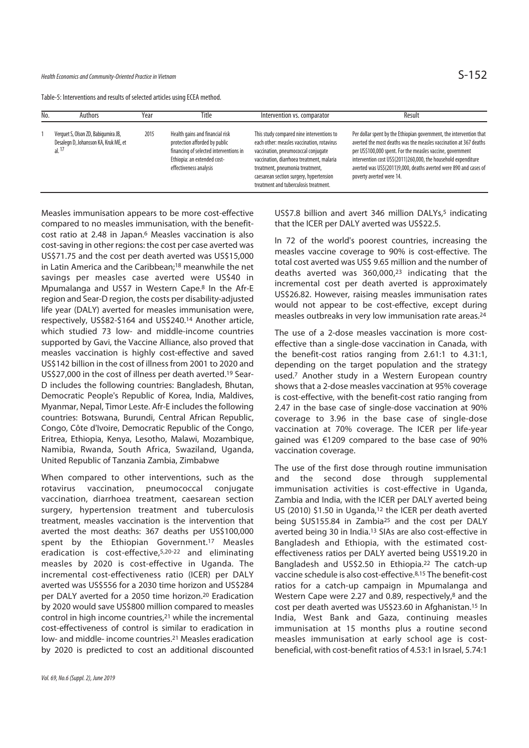### Health Economics and Community-Oriented Practice in Vietnam  $\mathsf{S-152}$

Table-5: Interventions and results of selected articles using ECEA method.

| No. | Authors                                                                                     | Year | Title                                                                                                                                                               | Intervention vs. comparator                                                                                                                                                                                                                                                                        | Result                                                                                                                                                                                                                                                                                                                                                                    |
|-----|---------------------------------------------------------------------------------------------|------|---------------------------------------------------------------------------------------------------------------------------------------------------------------------|----------------------------------------------------------------------------------------------------------------------------------------------------------------------------------------------------------------------------------------------------------------------------------------------------|---------------------------------------------------------------------------------------------------------------------------------------------------------------------------------------------------------------------------------------------------------------------------------------------------------------------------------------------------------------------------|
|     | Verguet S, Olson ZD, Babigumira JB,<br>Desalegn D, Johansson KA, Kruk ME, et<br>al. $^{17}$ | 2015 | Health gains and financial risk<br>protection afforded by public<br>financing of selected interventions in<br>Ethiopia: an extended cost-<br>effectiveness analysis | This study compared nine interventions to<br>each other: measles vaccination, rotavirus<br>vaccination, pneumococcal conjugate<br>vaccination, diarrhoea treatment, malaria<br>treatment, pneumonia treatment,<br>caesarean section surgery, hypertension<br>treatment and tuberculosis treatment. | Per dollar spent by the Ethiopian government, the intervention that<br>averted the most deaths was the measles vaccination at 367 deaths<br>per US\$100,000 spent. For the measles vaccine, government<br>intervention cost US\$(2011)260,000, the household expenditure<br>averted was US\$(2011)9,000, deaths averted were 890 and cases of<br>poverty averted were 14. |

Measles immunisation appears to be more cost-effective compared to no measles immunisation, with the benefitcost ratio at 2.48 in Japan.6 Measles vaccination is also cost-saving in other regions: the cost per case averted was US\$71.75 and the cost per death averted was US\$15,000 in Latin America and the Caribbean;18 meanwhile the net savings per measles case averted were US\$40 in Mpumalanga and US\$7 in Western Cape.8 In the Afr-E region and Sear-D region, the costs per disability-adjusted life year (DALY) averted for measles immunisation were, respectively, US\$82-\$164 and US\$240.14 Another article, which studied 73 low- and middle-income countries supported by Gavi, the Vaccine Alliance, also proved that measles vaccination is highly cost-effective and saved US\$142 billion in the cost of illness from 2001 to 2020 and US\$27,000 in the cost of illness per death averted.19 Sear-D includes the following countries: Bangladesh, Bhutan, Democratic People's Republic of Korea, India, Maldives, Myanmar, Nepal, Timor Leste. Afr-E includes the following countries: Botswana, Burundi, Central African Republic, Congo, Côte d'Ivoire, Democratic Republic of the Congo, Eritrea, Ethiopia, Kenya, Lesotho, Malawi, Mozambique, Namibia, Rwanda, South Africa, Swaziland, Uganda, United Republic of Tanzania Zambia, Zimbabwe

When compared to other interventions, such as the rotavirus vaccination, pneumococcal conjugate vaccination, diarrhoea treatment, caesarean section surgery, hypertension treatment and tuberculosis treatment, measles vaccination is the intervention that averted the most deaths: 367 deaths per US\$100,000 spent by the Ethiopian Government.17 Measles eradication is cost-effective,5,20-22 and eliminating measles by 2020 is cost-effective in Uganda. The incremental cost-effectiveness ratio (ICER) per DALY averted was US\$556 for a 2030 time horizon and US\$284 per DALY averted for a 2050 time horizon.20 Eradication by 2020 would save US\$800 million compared to measles control in high income countries,21 while the incremental cost-effectiveness of control is similar to eradication in low- and middle- income countries.21 Measles eradication by 2020 is predicted to cost an additional discounted US\$7.8 billion and avert 346 million DALYs,<sup>5</sup> indicating that the ICER per DALY averted was US\$22.5.

In 72 of the world's poorest countries, increasing the measles vaccine coverage to 90% is cost-effective. The total cost averted was US\$ 9.65 million and the number of deaths averted was 360,000,23 indicating that the incremental cost per death averted is approximately US\$26.82. However, raising measles immunisation rates would not appear to be cost-effective, except during measles outbreaks in very low immunisation rate areas.24

The use of a 2-dose measles vaccination is more costeffective than a single-dose vaccination in Canada, with the benefit-cost ratios ranging from 2.61:1 to 4.31:1, depending on the target population and the strategy used.7 Another study in a Western European country shows that a 2-dose measles vaccination at 95% coverage is cost-effective, with the benefit-cost ratio ranging from 2.47 in the base case of single-dose vaccination at 90% coverage to 3.96 in the base case of single-dose vaccination at 70% coverage. The ICER per life-year gained was €1209 compared to the base case of 90% vaccination coverage.

The use of the first dose through routine immunisation and the second dose through supplemental immunisation activities is cost-effective in Uganda, Zambia and India, with the ICER per DALY averted being US (2010) \$1.50 in Uganda,<sup>12</sup> the ICER per death averted being \$US155.84 in Zambia<sup>25</sup> and the cost per DALY averted being 30 in India.<sup>13</sup> SIAs are also cost-effective in Bangladesh and Ethiopia, with the estimated costeffectiveness ratios per DALY averted being US\$19.20 in Bangladesh and US\$2.50 in Ethiopia.22 The catch-up vaccine schedule is also cost-effective.8,15 The benefit-cost ratios for a catch-up campaign in Mpumalanga and Western Cape were 2.27 and 0.89, respectively,<sup>8</sup> and the cost per death averted was US\$23.60 in Afghanistan.15 In India, West Bank and Gaza, continuing measles immunisation at 15 months plus a routine second measles immunisation at early school age is costbeneficial, with cost-benefit ratios of 4.53:1 in Israel, 5.74:1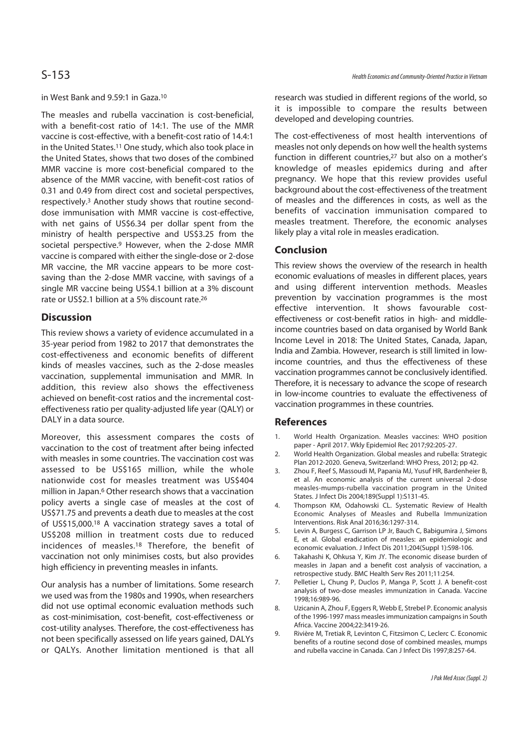### in West Bank and 9.59:1 in Gaza.10

The measles and rubella vaccination is cost-beneficial, with a benefit-cost ratio of 14:1. The use of the MMR vaccine is cost-effective, with a benefit-cost ratio of 14.4:1 in the United States.11 One study, which also took place in the United States, shows that two doses of the combined MMR vaccine is more cost-beneficial compared to the absence of the MMR vaccine, with benefit-cost ratios of 0.31 and 0.49 from direct cost and societal perspectives, respectively.3 Another study shows that routine seconddose immunisation with MMR vaccine is cost-effective, with net gains of US\$6.34 per dollar spent from the ministry of health perspective and US\$3.25 from the societal perspective.<sup>9</sup> However, when the 2-dose MMR vaccine is compared with either the single-dose or 2-dose MR vaccine, the MR vaccine appears to be more costsaving than the 2-dose MMR vaccine, with savings of a single MR vaccine being US\$4.1 billion at a 3% discount rate or US\$2.1 billion at a 5% discount rate.26

# **Discussion**

This review shows a variety of evidence accumulated in a 35-year period from 1982 to 2017 that demonstrates the cost-effectiveness and economic benefits of different kinds of measles vaccines, such as the 2-dose measles vaccination, supplemental immunisation and MMR. In addition, this review also shows the effectiveness achieved on benefit-cost ratios and the incremental costeffectiveness ratio per quality-adjusted life year (QALY) or DALY in a data source.

Moreover, this assessment compares the costs of vaccination to the cost of treatment after being infected with measles in some countries. The vaccination cost was assessed to be US\$165 million, while the whole nationwide cost for measles treatment was US\$404 million in Japan.6 Other research shows that a vaccination policy averts a single case of measles at the cost of US\$71.75 and prevents a death due to measles at the cost of US\$15,000.18 A vaccination strategy saves a total of US\$208 million in treatment costs due to reduced incidences of measles.18 Therefore, the benefit of vaccination not only minimises costs, but also provides high efficiency in preventing measles in infants.

Our analysis has a number of limitations. Some research we used was from the 1980s and 1990s, when researchers did not use optimal economic evaluation methods such as cost-minimisation, cost-benefit, cost-effectiveness or cost-utility analyses. Therefore, the cost-effectiveness has not been specifically assessed on life years gained, DALYs or QALYs. Another limitation mentioned is that all

research was studied in different regions of the world, so it is impossible to compare the results between developed and developing countries.

The cost-effectiveness of most health interventions of measles not only depends on how well the health systems function in different countries,<sup>27</sup> but also on a mother's knowledge of measles epidemics during and after pregnancy. We hope that this review provides useful background about the cost-effectiveness of the treatment of measles and the differences in costs, as well as the benefits of vaccination immunisation compared to measles treatment. Therefore, the economic analyses likely play a vital role in measles eradication.

## **Conclusion**

This review shows the overview of the research in health economic evaluations of measles in different places, years and using different intervention methods. Measles prevention by vaccination programmes is the most effective intervention. It shows favourable costeffectiveness or cost-benefit ratios in high- and middleincome countries based on data organised by World Bank Income Level in 2018: The United States, Canada, Japan, India and Zambia. However, research is still limited in lowincome countries, and thus the effectiveness of these vaccination programmes cannot be conclusively identified. Therefore, it is necessary to advance the scope of research in low-income countries to evaluate the effectiveness of vaccination programmes in these countries.

### **References**

- 1. World Health Organization. Measles vaccines: WHO position paper - April 2017. Wkly Epidemiol Rec 2017;92:205-27.
- 2. World Health Organization. Global measles and rubella: Strategic Plan 2012-2020. Geneva, Switzerland: WHO Press, 2012; pp 42.
- 3. Zhou F, Reef S, Massoudi M, Papania MJ, Yusuf HR, Bardenheier B, et al. An economic analysis of the current universal 2-dose measles-mumps-rubella vaccination program in the United States. J Infect Dis 2004;189(Suppl 1):S131-45.
- 4. Thompson KM, Odahowski CL. Systematic Review of Health Economic Analyses of Measles and Rubella Immunization Interventions. Risk Anal 2016;36:1297-314.
- 5. Levin A, Burgess C, Garrison LP Jr, Bauch C, Babigumira J, Simons E, et al. Global eradication of measles: an epidemiologic and economic evaluation. J Infect Dis 2011;204(Suppl 1):S98-106.
- 6. Takahashi K, Ohkusa Y, Kim JY. The economic disease burden of measles in Japan and a benefit cost analysis of vaccination, a retrospective study. BMC Health Serv Res 2011;11:254.
- 7. Pelletier L, Chung P, Duclos P, Manga P, Scott J. A benefit-cost analysis of two-dose measles immunization in Canada. Vaccine 1998;16:989-96.
- 8. Uzicanin A, Zhou F, Eggers R, Webb E, Strebel P. Economic analysis of the 1996-1997 mass measles immunization campaigns in South Africa. Vaccine 2004;22:3419-26.
- 9. Rivière M, Tretiak R, Levinton C, Fitzsimon C, Leclerc C. Economic benefits of a routine second dose of combined measles, mumps and rubella vaccine in Canada. Can J Infect Dis 1997;8:257-64.